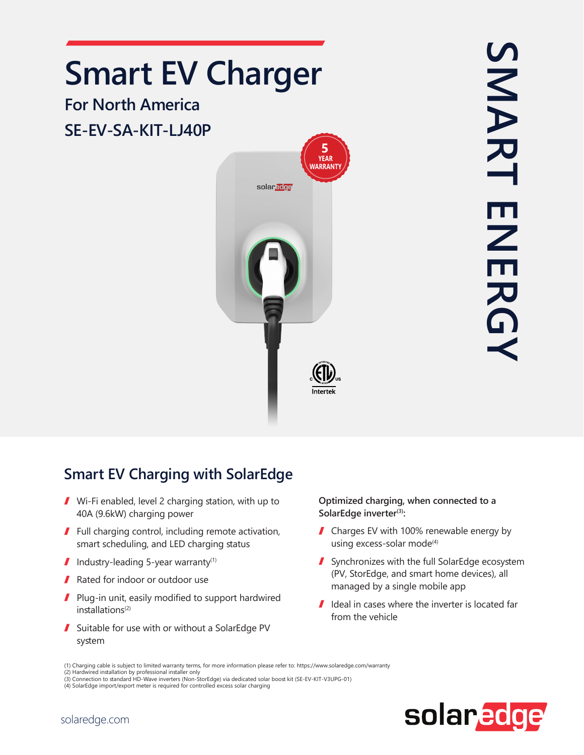## **Smart EV Charger**

## **For North America** SE-EV-SA-KIT-LJ40P



SMART ENERGY SMART **ENERG** 

## **Smart EV Charging with SolarEdge**

- $\blacksquare$  Wi-Fi enabled, level 2 charging station, with up to 40A (9.6kW) charging power
- $\blacksquare$  Full charging control, including remote activation, smart scheduling, and LED charging status
- $\blacksquare$  Industry-leading 5-year warranty<sup>(1)</sup>
- Rated for indoor or outdoor use
- $\blacksquare$  Plug-in unit, easily modified to support hardwired  $in$ stallations<sup>(2)</sup>
- Suitable for use with or without a SolarEdge PV system

**Optimized charging, when connected to a** SolarEdge inverter<sup>(3)</sup>:

- $\blacksquare$  Charges EV with 100% renewable energy by using excess-solar mode<sup>(4)</sup>
- Synchronizes with the full SolarEdge ecosystem (PV, StorEdge, and smart home devices), all managed by a single mobile app
- $\blacksquare$  Ideal in cases where the inverter is located far from the vehicle



<sup>(1)</sup> Charging cable is subject to limited warranty terms, for more information please refer to: https://www.solaredge.com/warranty<br>(2) Hardwired installation by professional installer only

<sup>(3)</sup> Connection to standard HD-Wave inverters (Non-StorEdge) via dedicated solar boost kit (SE-EV-KIT-V3UPG-01)

<sup>(4)</sup> SolarEdge import/export meter is required for controlled excess solar charging